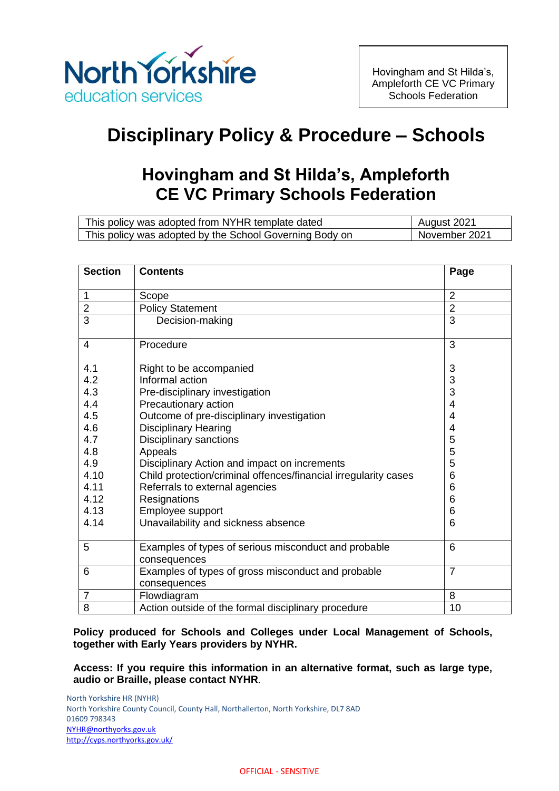

# **Disciplinary Policy & Procedure – Schools**

# **Hovingham and St Hilda's, Ampleforth CE VC Primary Schools Federation**

| This policy was adopted from NYHR template dated        | August 2021   |
|---------------------------------------------------------|---------------|
| This policy was adopted by the School Governing Body on | November 2021 |

| <b>Section</b> | <b>Contents</b>                                                    | Page           |
|----------------|--------------------------------------------------------------------|----------------|
| 1              | Scope                                                              | $\overline{2}$ |
| $\overline{2}$ | <b>Policy Statement</b>                                            | $\overline{2}$ |
| 3              | Decision-making                                                    | 3              |
| 4              | Procedure                                                          | 3              |
| 4.1            | Right to be accompanied                                            | 3              |
| 4.2            | Informal action                                                    | 3              |
| 4.3            | Pre-disciplinary investigation                                     | 3              |
| 4.4            | Precautionary action                                               | $\overline{4}$ |
| 4.5            | Outcome of pre-disciplinary investigation                          | $\overline{4}$ |
| 4.6            | <b>Disciplinary Hearing</b>                                        | 4              |
| 4.7            | <b>Disciplinary sanctions</b>                                      | 5              |
| 4.8            | Appeals                                                            | 5              |
| 4.9            | Disciplinary Action and impact on increments                       | 5              |
| 4.10           | Child protection/criminal offences/financial irregularity cases    | 6              |
| 4.11           | Referrals to external agencies                                     | 6              |
| 4.12           | Resignations                                                       | 6              |
| 4.13           | Employee support                                                   | 6              |
| 4.14           | Unavailability and sickness absence                                | 6              |
| 5              | Examples of types of serious misconduct and probable               | 6              |
|                | consequences                                                       |                |
| 6              | Examples of types of gross misconduct and probable<br>consequences | $\overline{7}$ |
| $\overline{7}$ | Flowdiagram                                                        | 8              |
| 8              | Action outside of the formal disciplinary procedure                | 10             |

**Policy produced for Schools and Colleges under Local Management of Schools, together with Early Years providers by NYHR.**

**Access: If you require this information in an alternative format, such as large type, audio or Braille, please contact NYHR**.

North Yorkshire HR (NYHR) North Yorkshire County Council, County Hall, Northallerton, North Yorkshire, DL7 8AD 01609 798343 [NYHR@northyorks.gov.uk](mailto:NYHR@northyorks.gov.uk) <http://cyps.northyorks.gov.uk/>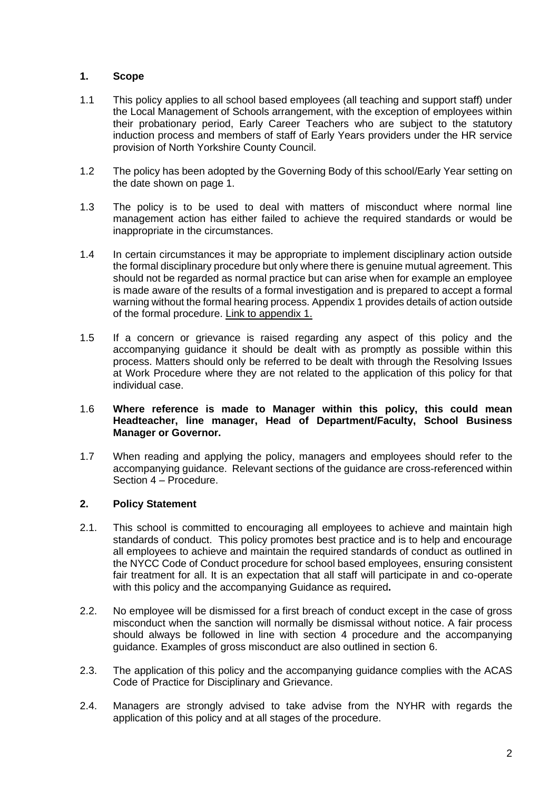# **1. Scope**

- 1.1 This policy applies to all school based employees (all teaching and support staff) under the Local Management of Schools arrangement, with the exception of employees within their probationary period, Early Career Teachers who are subject to the statutory induction process and members of staff of Early Years providers under the HR service provision of North Yorkshire County Council.
- 1.2 The policy has been adopted by the Governing Body of this school/Early Year setting on the date shown on page 1.
- 1.3 The policy is to be used to deal with matters of misconduct where normal line management action has either failed to achieve the required standards or would be inappropriate in the circumstances.
- 1.4 In certain circumstances it may be appropriate to implement disciplinary action outside the formal disciplinary procedure but only where there is genuine mutual agreement. This should not be regarded as normal practice but can arise when for example an employee is made aware of the results of a formal investigation and is prepared to accept a formal warning without the formal hearing process. Appendix 1 provides details of action outside of the formal procedure. Link to appendix 1.
- 1.5 If a concern or grievance is raised regarding any aspect of this policy and the accompanying guidance it should be dealt with as promptly as possible within this process. Matters should only be referred to be dealt with through the Resolving Issues at Work Procedure where they are not related to the application of this policy for that individual case.

#### 1.6 **Where reference is made to Manager within this policy, this could mean Headteacher, line manager, Head of Department/Faculty, School Business Manager or Governor.**

1.7 When reading and applying the policy, managers and employees should refer to the accompanying guidance. Relevant sections of the guidance are cross-referenced within Section 4 – Procedure.

#### **2. Policy Statement**

- 2.1. This school is committed to encouraging all employees to achieve and maintain high standards of conduct. This policy promotes best practice and is to help and encourage all employees to achieve and maintain the required standards of conduct as outlined in the NYCC Code of Conduct procedure for school based employees, ensuring consistent fair treatment for all. It is an expectation that all staff will participate in and co-operate with this policy and the accompanying Guidance as required**.**
- 2.2. No employee will be dismissed for a first breach of conduct except in the case of gross misconduct when the sanction will normally be dismissal without notice. A fair process should always be followed in line with section 4 procedure and the accompanying guidance. Examples of gross misconduct are also outlined in section 6.
- 2.3. The application of this policy and the accompanying guidance complies with the ACAS Code of Practice for Disciplinary and Grievance.
- 2.4. Managers are strongly advised to take advise from the NYHR with regards the application of this policy and at all stages of the procedure.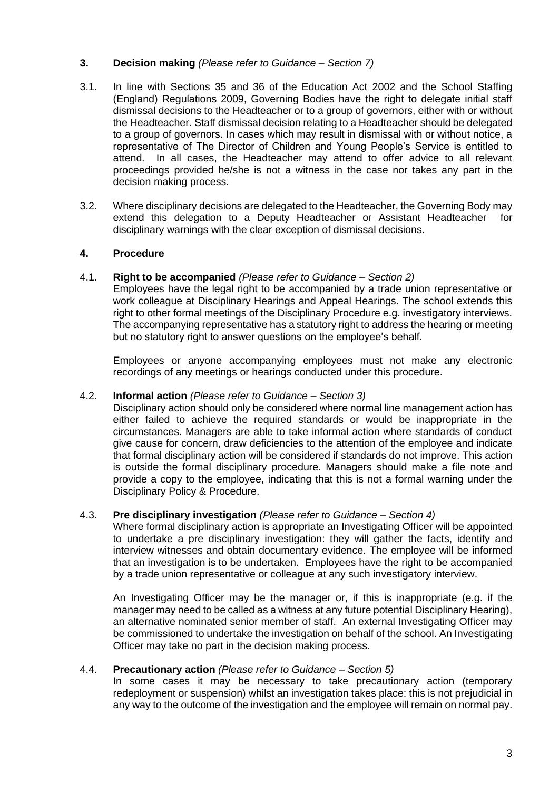# **3. Decision making** *(Please refer to Guidance – Section 7)*

- 3.1. In line with Sections 35 and 36 of the Education Act 2002 and the School Staffing (England) Regulations 2009, Governing Bodies have the right to delegate initial staff dismissal decisions to the Headteacher or to a group of governors, either with or without the Headteacher. Staff dismissal decision relating to a Headteacher should be delegated to a group of governors. In cases which may result in dismissal with or without notice, a representative of The Director of Children and Young People's Service is entitled to attend. In all cases, the Headteacher may attend to offer advice to all relevant proceedings provided he/she is not a witness in the case nor takes any part in the decision making process.
- 3.2. Where disciplinary decisions are delegated to the Headteacher, the Governing Body may extend this delegation to a Deputy Headteacher or Assistant Headteacher for disciplinary warnings with the clear exception of dismissal decisions.

# **4. Procedure**

#### 4.1. **Right to be accompanied** *(Please refer to Guidance – Section 2)*

Employees have the legal right to be accompanied by a trade union representative or work colleague at Disciplinary Hearings and Appeal Hearings. The school extends this right to other formal meetings of the Disciplinary Procedure e.g. investigatory interviews. The accompanying representative has a statutory right to address the hearing or meeting but no statutory right to answer questions on the employee's behalf.

Employees or anyone accompanying employees must not make any electronic recordings of any meetings or hearings conducted under this procedure.

## 4.2. **Informal action** *(Please refer to Guidance – Section 3)*

Disciplinary action should only be considered where normal line management action has either failed to achieve the required standards or would be inappropriate in the circumstances. Managers are able to take informal action where standards of conduct give cause for concern, draw deficiencies to the attention of the employee and indicate that formal disciplinary action will be considered if standards do not improve. This action is outside the formal disciplinary procedure. Managers should make a file note and provide a copy to the employee, indicating that this is not a formal warning under the Disciplinary Policy & Procedure.

#### 4.3. **Pre disciplinary investigation** *(Please refer to Guidance – Section 4)*

Where formal disciplinary action is appropriate an Investigating Officer will be appointed to undertake a pre disciplinary investigation: they will gather the facts, identify and interview witnesses and obtain documentary evidence. The employee will be informed that an investigation is to be undertaken. Employees have the right to be accompanied by a trade union representative or colleague at any such investigatory interview.

An Investigating Officer may be the manager or, if this is inappropriate (e.g. if the manager may need to be called as a witness at any future potential Disciplinary Hearing), an alternative nominated senior member of staff. An external Investigating Officer may be commissioned to undertake the investigation on behalf of the school. An Investigating Officer may take no part in the decision making process.

#### 4.4. **Precautionary action** *(Please refer to Guidance – Section 5)*

In some cases it may be necessary to take precautionary action (temporary redeployment or suspension) whilst an investigation takes place: this is not prejudicial in any way to the outcome of the investigation and the employee will remain on normal pay.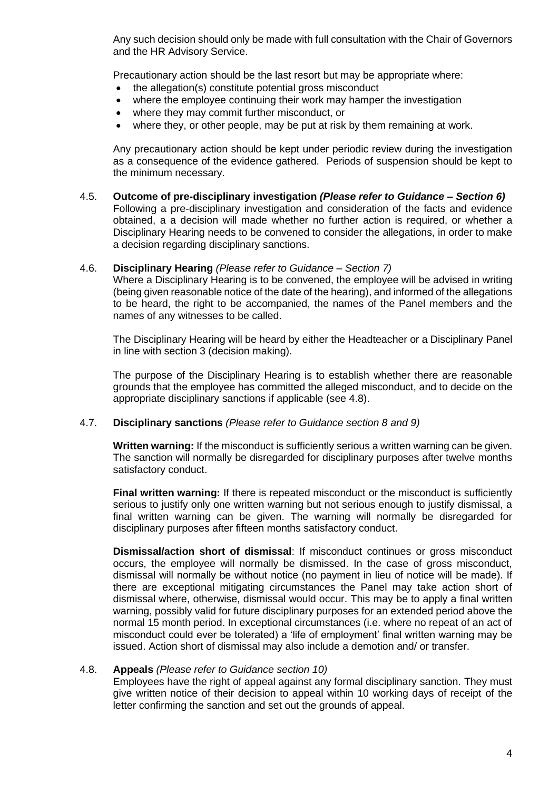Any such decision should only be made with full consultation with the Chair of Governors and the HR Advisory Service.

Precautionary action should be the last resort but may be appropriate where:

- the allegation(s) constitute potential gross misconduct
- where the employee continuing their work may hamper the investigation
- where they may commit further misconduct, or
- where they, or other people, may be put at risk by them remaining at work.

Any precautionary action should be kept under periodic review during the investigation as a consequence of the evidence gathered. Periods of suspension should be kept to the minimum necessary.

4.5. **Outcome of pre-disciplinary investigation** *(Please refer to Guidance – Section 6)* Following a pre-disciplinary investigation and consideration of the facts and evidence obtained, a a decision will made whether no further action is required, or whether a Disciplinary Hearing needs to be convened to consider the allegations, in order to make a decision regarding disciplinary sanctions.

#### 4.6. **Disciplinary Hearing** *(Please refer to Guidance – Section 7)*

Where a Disciplinary Hearing is to be convened, the employee will be advised in writing (being given reasonable notice of the date of the hearing), and informed of the allegations to be heard, the right to be accompanied, the names of the Panel members and the names of any witnesses to be called.

The Disciplinary Hearing will be heard by either the Headteacher or a Disciplinary Panel in line with section 3 (decision making).

The purpose of the Disciplinary Hearing is to establish whether there are reasonable grounds that the employee has committed the alleged misconduct, and to decide on the appropriate disciplinary sanctions if applicable (see 4.8).

#### 4.7. **Disciplinary sanctions** *(Please refer to Guidance section 8 and 9)*

**Written warning:** If the misconduct is sufficiently serious a written warning can be given. The sanction will normally be disregarded for disciplinary purposes after twelve months satisfactory conduct.

**Final written warning:** If there is repeated misconduct or the misconduct is sufficiently serious to justify only one written warning but not serious enough to justify dismissal, a final written warning can be given. The warning will normally be disregarded for disciplinary purposes after fifteen months satisfactory conduct.

**Dismissal/action short of dismissal**: If misconduct continues or gross misconduct occurs, the employee will normally be dismissed. In the case of gross misconduct, dismissal will normally be without notice (no payment in lieu of notice will be made). If there are exceptional mitigating circumstances the Panel may take action short of dismissal where, otherwise, dismissal would occur. This may be to apply a final written warning, possibly valid for future disciplinary purposes for an extended period above the normal 15 month period. In exceptional circumstances (i.e. where no repeat of an act of misconduct could ever be tolerated) a 'life of employment' final written warning may be issued. Action short of dismissal may also include a demotion and/ or transfer.

#### 4.8. **Appeals** *(Please refer to Guidance section 10)*

Employees have the right of appeal against any formal disciplinary sanction. They must give written notice of their decision to appeal within 10 working days of receipt of the letter confirming the sanction and set out the grounds of appeal.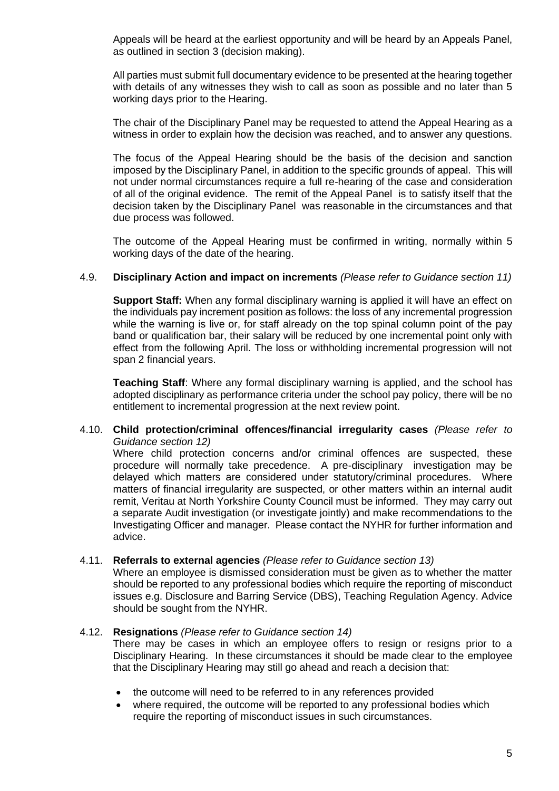Appeals will be heard at the earliest opportunity and will be heard by an Appeals Panel, as outlined in section 3 (decision making).

All parties must submit full documentary evidence to be presented at the hearing together with details of any witnesses they wish to call as soon as possible and no later than 5 working days prior to the Hearing.

The chair of the Disciplinary Panel may be requested to attend the Appeal Hearing as a witness in order to explain how the decision was reached, and to answer any questions.

The focus of the Appeal Hearing should be the basis of the decision and sanction imposed by the Disciplinary Panel, in addition to the specific grounds of appeal. This will not under normal circumstances require a full re-hearing of the case and consideration of all of the original evidence. The remit of the Appeal Panel is to satisfy itself that the decision taken by the Disciplinary Panel was reasonable in the circumstances and that due process was followed.

The outcome of the Appeal Hearing must be confirmed in writing, normally within 5 working days of the date of the hearing.

#### 4.9. **Disciplinary Action and impact on increments** *(Please refer to Guidance section 11)*

**Support Staff:** When any formal disciplinary warning is applied it will have an effect on the individuals pay increment position as follows: the loss of any incremental progression while the warning is live or, for staff already on the top spinal column point of the pay band or qualification bar, their salary will be reduced by one incremental point only with effect from the following April. The loss or withholding incremental progression will not span 2 financial years.

**Teaching Staff**: Where any formal disciplinary warning is applied, and the school has adopted disciplinary as performance criteria under the school pay policy, there will be no entitlement to incremental progression at the next review point.

#### 4.10. **Child protection/criminal offences/financial irregularity cases** *(Please refer to Guidance section 12)*

Where child protection concerns and/or criminal offences are suspected, these procedure will normally take precedence. A pre-disciplinary investigation may be delayed which matters are considered under statutory/criminal procedures. Where matters of financial irregularity are suspected, or other matters within an internal audit remit, Veritau at North Yorkshire County Council must be informed. They may carry out a separate Audit investigation (or investigate jointly) and make recommendations to the Investigating Officer and manager. Please contact the NYHR for further information and advice.

#### 4.11. **Referrals to external agencies** *(Please refer to Guidance section 13)*

Where an employee is dismissed consideration must be given as to whether the matter should be reported to any professional bodies which require the reporting of misconduct issues e.g. Disclosure and Barring Service (DBS), Teaching Regulation Agency. Advice should be sought from the NYHR.

#### 4.12. **Resignations** *(Please refer to Guidance section 14)*

There may be cases in which an employee offers to resign or resigns prior to a Disciplinary Hearing. In these circumstances it should be made clear to the employee that the Disciplinary Hearing may still go ahead and reach a decision that:

- the outcome will need to be referred to in any references provided
- where required, the outcome will be reported to any professional bodies which require the reporting of misconduct issues in such circumstances.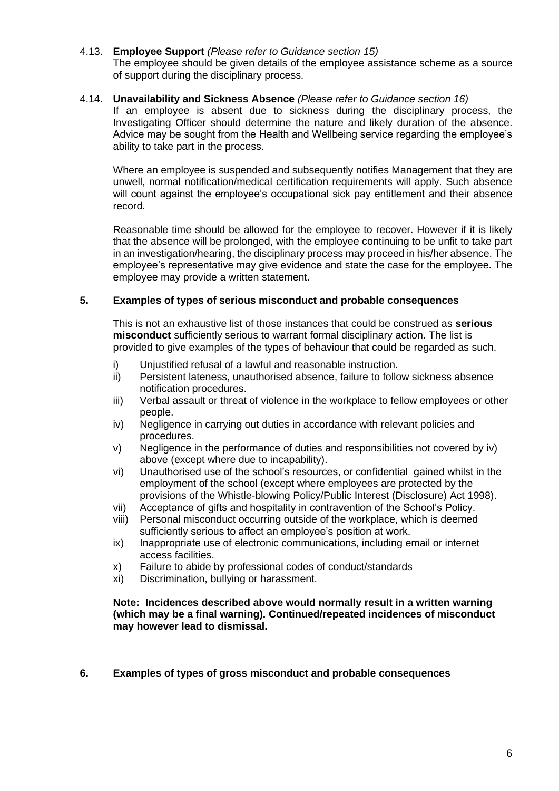4.13. **Employee Support** *(Please refer to Guidance section 15)* The employee should be given details of the employee assistance scheme as a source of support during the disciplinary process.

#### 4.14. **Unavailability and Sickness Absence** *(Please refer to Guidance section 16)*

If an employee is absent due to sickness during the disciplinary process, the Investigating Officer should determine the nature and likely duration of the absence. Advice may be sought from the Health and Wellbeing service regarding the employee's ability to take part in the process.

Where an employee is suspended and subsequently notifies Management that they are unwell, normal notification/medical certification requirements will apply. Such absence will count against the employee's occupational sick pay entitlement and their absence record.

Reasonable time should be allowed for the employee to recover. However if it is likely that the absence will be prolonged, with the employee continuing to be unfit to take part in an investigation/hearing, the disciplinary process may proceed in his/her absence. The employee's representative may give evidence and state the case for the employee. The employee may provide a written statement.

#### **5. Examples of types of serious misconduct and probable consequences**

This is not an exhaustive list of those instances that could be construed as **serious misconduct** sufficiently serious to warrant formal disciplinary action. The list is provided to give examples of the types of behaviour that could be regarded as such.

- i) Unjustified refusal of a lawful and reasonable instruction.
- ii) Persistent lateness, unauthorised absence, failure to follow sickness absence notification procedures.
- iii) Verbal assault or threat of violence in the workplace to fellow employees or other people.
- iv) Negligence in carrying out duties in accordance with relevant policies and procedures.
- v) Negligence in the performance of duties and responsibilities not covered by iv) above (except where due to incapability).
- vi) Unauthorised use of the school's resources, or confidential gained whilst in the employment of the school (except where employees are protected by the provisions of the Whistle-blowing Policy/Public Interest (Disclosure) Act 1998).
- vii) Acceptance of gifts and hospitality in contravention of the School's Policy.
- viii) Personal misconduct occurring outside of the workplace, which is deemed sufficiently serious to affect an employee's position at work.
- ix) Inappropriate use of electronic communications, including email or internet access facilities.
- x) Failure to abide by professional codes of conduct/standards
- xi) Discrimination, bullying or harassment.

#### **Note: Incidences described above would normally result in a written warning (which may be a final warning). Continued/repeated incidences of misconduct may however lead to dismissal.**

**6. Examples of types of gross misconduct and probable consequences**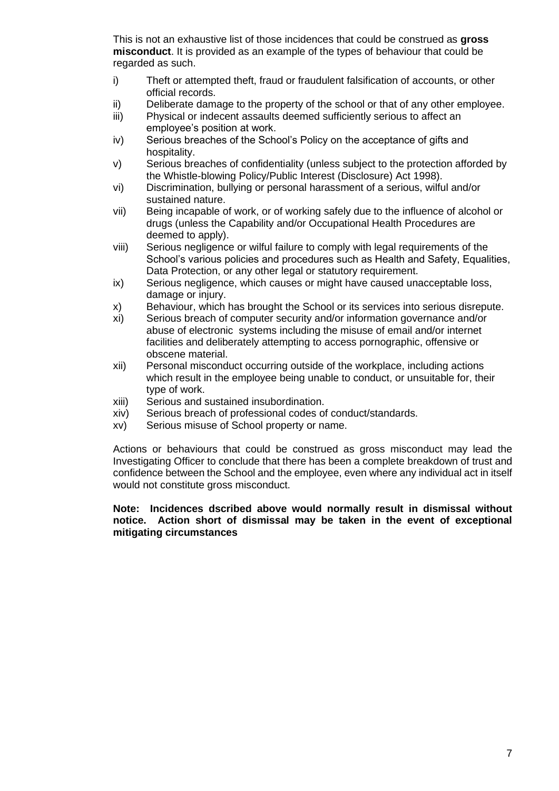This is not an exhaustive list of those incidences that could be construed as **gross misconduct**. It is provided as an example of the types of behaviour that could be regarded as such.

- i) Theft or attempted theft, fraud or fraudulent falsification of accounts, or other official records.
- ii) Deliberate damage to the property of the school or that of any other employee.
- iii) Physical or indecent assaults deemed sufficiently serious to affect an employee's position at work.
- iv) Serious breaches of the School's Policy on the acceptance of gifts and hospitality.
- v) Serious breaches of confidentiality (unless subject to the protection afforded by the Whistle-blowing Policy/Public Interest (Disclosure) Act 1998).
- vi) Discrimination, bullying or personal harassment of a serious, wilful and/or sustained nature.
- vii) Being incapable of work, or of working safely due to the influence of alcohol or drugs (unless the Capability and/or Occupational Health Procedures are deemed to apply).
- viii) Serious negligence or wilful failure to comply with legal requirements of the School's various policies and procedures such as Health and Safety, Equalities, Data Protection, or any other legal or statutory requirement.
- ix) Serious negligence, which causes or might have caused unacceptable loss, damage or injury.
- x) Behaviour, which has brought the School or its services into serious disrepute.
- xi) Serious breach of computer security and/or information governance and/or abuse of electronic systems including the misuse of email and/or internet facilities and deliberately attempting to access pornographic, offensive or obscene material.
- xii) Personal misconduct occurring outside of the workplace, including actions which result in the employee being unable to conduct, or unsuitable for, their type of work.
- xiii) Serious and sustained insubordination.
- xiv) Serious breach of professional codes of conduct/standards.
- xv) Serious misuse of School property or name.

Actions or behaviours that could be construed as gross misconduct may lead the Investigating Officer to conclude that there has been a complete breakdown of trust and confidence between the School and the employee, even where any individual act in itself would not constitute gross misconduct.

#### **Note: Incidences dscribed above would normally result in dismissal without notice. Action short of dismissal may be taken in the event of exceptional mitigating circumstances**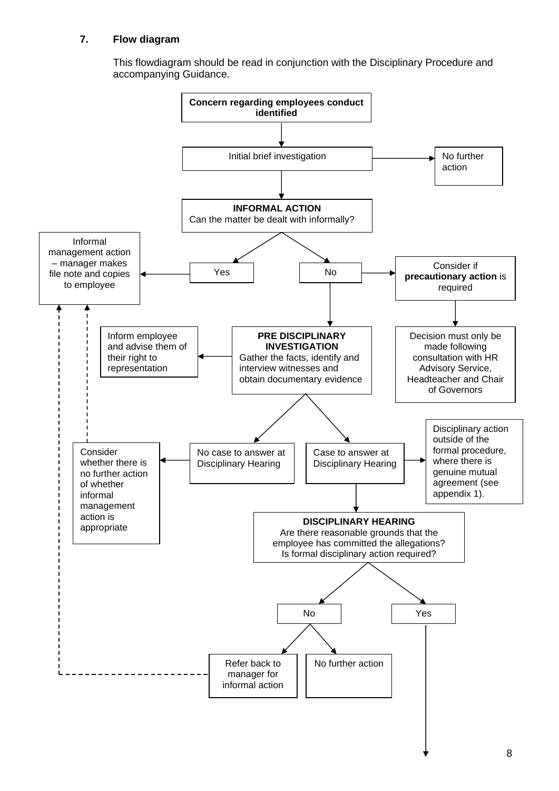# **7. Flow diagram**

This flowdiagram should be read in conjunction with the Disciplinary Procedure and accompanying Guidance.

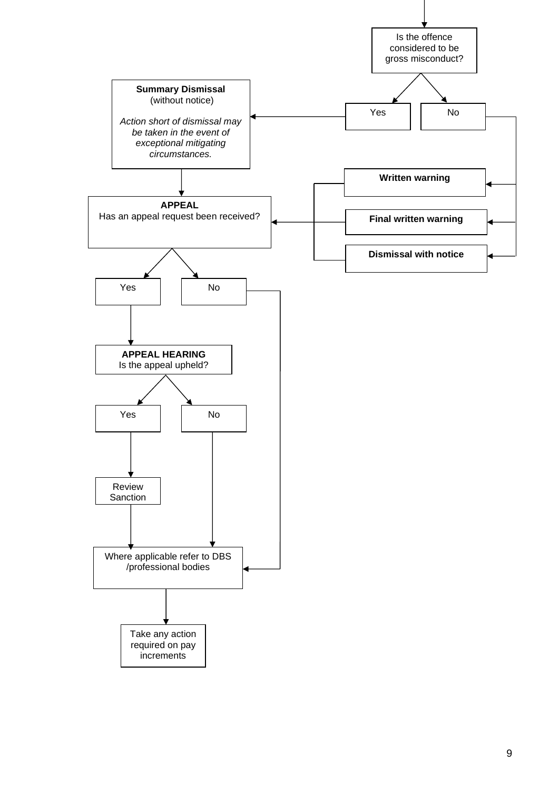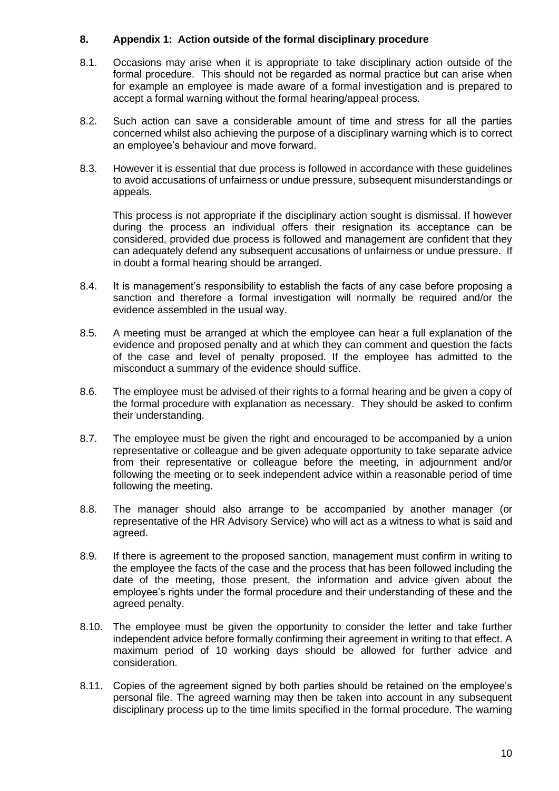## **8. Appendix 1: Action outside of the formal disciplinary procedure**

- 8.1. Occasions may arise when it is appropriate to take disciplinary action outside of the formal procedure. This should not be regarded as normal practice but can arise when for example an employee is made aware of a formal investigation and is prepared to accept a formal warning without the formal hearing/appeal process.
- 8.2. Such action can save a considerable amount of time and stress for all the parties concerned whilst also achieving the purpose of a disciplinary warning which is to correct an employee's behaviour and move forward.
- 8.3. However it is essential that due process is followed in accordance with these guidelines to avoid accusations of unfairness or undue pressure, subsequent misunderstandings or appeals.

This process is not appropriate if the disciplinary action sought is dismissal. If however during the process an individual offers their resignation its acceptance can be considered, provided due process is followed and management are confident that they can adequately defend any subsequent accusations of unfairness or undue pressure. If in doubt a formal hearing should be arranged.

- 8.4. It is management's responsibility to establish the facts of any case before proposing a sanction and therefore a formal investigation will normally be required and/or the evidence assembled in the usual way.
- 8.5. A meeting must be arranged at which the employee can hear a full explanation of the evidence and proposed penalty and at which they can comment and question the facts of the case and level of penalty proposed. If the employee has admitted to the misconduct a summary of the evidence should suffice.
- 8.6. The employee must be advised of their rights to a formal hearing and be given a copy of the formal procedure with explanation as necessary. They should be asked to confirm their understanding.
- 8.7. The employee must be given the right and encouraged to be accompanied by a union representative or colleague and be given adequate opportunity to take separate advice from their representative or colleague before the meeting, in adjournment and/or following the meeting or to seek independent advice within a reasonable period of time following the meeting.
- 8.8. The manager should also arrange to be accompanied by another manager (or representative of the HR Advisory Service) who will act as a witness to what is said and agreed.
- 8.9. If there is agreement to the proposed sanction, management must confirm in writing to the employee the facts of the case and the process that has been followed including the date of the meeting, those present, the information and advice given about the employee's rights under the formal procedure and their understanding of these and the agreed penalty.
- 8.10. The employee must be given the opportunity to consider the letter and take further independent advice before formally confirming their agreement in writing to that effect. A maximum period of 10 working days should be allowed for further advice and consideration.
- 8.11. Copies of the agreement signed by both parties should be retained on the employee's personal file. The agreed warning may then be taken into account in any subsequent disciplinary process up to the time limits specified in the formal procedure. The warning